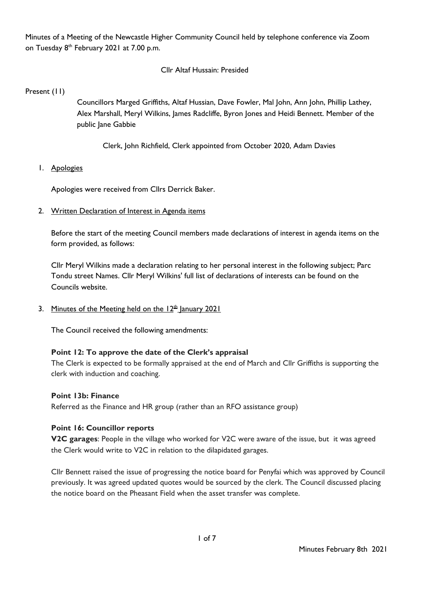Minutes of a Meeting of the Newcastle Higher Community Council held by telephone conference via Zoom on Tuesday 8<sup>th</sup> February 2021 at 7.00 p.m.

## Cllr Altaf Hussain: Presided

Present (11)

Councillors Marged Griffiths, Altaf Hussian, Dave Fowler, Mal John, Ann John, Phillip Lathey, Alex Marshall, Meryl Wilkins, James Radcliffe, Byron Jones and Heidi Bennett. Member of the public Jane Gabbie

Clerk, John Richfield, Clerk appointed from October 2020, Adam Davies

1. Apologies

Apologies were received from Cllrs Derrick Baker.

2. Written Declaration of Interest in Agenda items

Before the start of the meeting Council members made declarations of interest in agenda items on the form provided, as follows:

Cllr Meryl Wilkins made a declaration relating to her personal interest in the following subject; Parc Tondu street Names. Cllr Meryl Wilkins' full list of declarations of interests can be found on the Councils website.

3. Minutes of the Meeting held on the  $12<sup>th</sup>$  January 2021

The Council received the following amendments:

#### **Point 12: To approve the date of the Clerk's appraisal**

The Clerk is expected to be formally appraised at the end of March and Cllr Griffiths is supporting the clerk with induction and coaching.

#### **Point 13b: Finance**

Referred as the Finance and HR group (rather than an RFO assistance group)

#### **Point 16: Councillor reports**

**V2C garages**: People in the village who worked for V2C were aware of the issue, but it was agreed the Clerk would write to V2C in relation to the dilapidated garages.

Cllr Bennett raised the issue of progressing the notice board for Penyfai which was approved by Council previously. It was agreed updated quotes would be sourced by the clerk. The Council discussed placing the notice board on the Pheasant Field when the asset transfer was complete.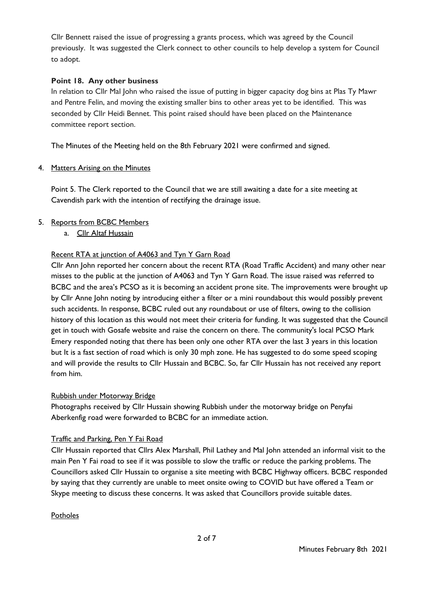Cllr Bennett raised the issue of progressing a grants process, which was agreed by the Council previously. It was suggested the Clerk connect to other councils to help develop a system for Council to adopt.

## **Point 18. Any other business**

In relation to Cllr Mal John who raised the issue of putting in bigger capacity dog bins at Plas Ty Mawr and Pentre Felin, and moving the existing smaller bins to other areas yet to be identified. This was seconded by Cllr Heidi Bennet. This point raised should have been placed on the Maintenance committee report section.

The Minutes of the Meeting held on the 8th February 2021 were confirmed and signed.

#### 4. Matters Arising on the Minutes

Point 5. The Clerk reported to the Council that we are still awaiting a date for a site meeting at Cavendish park with the intention of rectifying the drainage issue.

## 5. Reports from BCBC Members

a. Cllr Altaf Hussain

## Recent RTA at junction of A4063 and Tyn Y Garn Road

Cllr Ann John reported her concern about the recent RTA (Road Traffic Accident) and many other near misses to the public at the junction of A4063 and Tyn Y Garn Road. The issue raised was referred to BCBC and the area's PCSO as it is becoming an accident prone site. The improvements were brought up by Cllr Anne John noting by introducing either a filter or a mini roundabout this would possibly prevent such accidents. In response, BCBC ruled out any roundabout or use of filters, owing to the collision history of this location as this would not meet their criteria for funding. It was suggested that the Council get in touch with Gosafe website and raise the concern on there. The community's local PCSO Mark Emery responded noting that there has been only one other RTA over the last 3 years in this location but It is a fast section of road which is only 30 mph zone. He has suggested to do some speed scoping and will provide the results to Cllr Hussain and BCBC. So, far Cllr Hussain has not received any report from him.

#### Rubbish under Motorway Bridge

Photographs received by Cllr Hussain showing Rubbish under the motorway bridge on Penyfai Aberkenfig road were forwarded to BCBC for an immediate action.

#### Traffic and Parking, Pen Y Fai Road

Cllr Hussain reported that Cllrs Alex Marshall, Phil Lathey and Mal John attended an informal visit to the main Pen Y Fai road to see if it was possible to slow the traffic or reduce the parking problems. The Councillors asked Cllr Hussain to organise a site meeting with BCBC Highway officers. BCBC responded by saying that they currently are unable to meet onsite owing to COVID but have offered a Team or Skype meeting to discuss these concerns. It was asked that Councillors provide suitable dates.

#### **Potholes**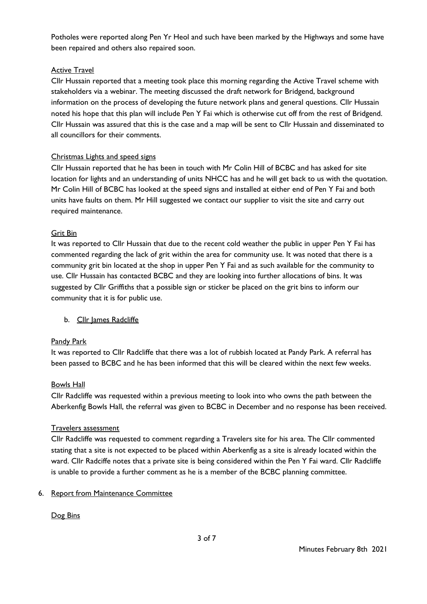Potholes were reported along Pen Yr Heol and such have been marked by the Highways and some have been repaired and others also repaired soon.

### Active Travel

Cllr Hussain reported that a meeting took place this morning regarding the Active Travel scheme with stakeholders via a webinar. The meeting discussed the draft network for Bridgend, background information on the process of developing the future network plans and general questions. Cllr Hussain noted his hope that this plan will include Pen Y Fai which is otherwise cut off from the rest of Bridgend. Cllr Hussain was assured that this is the case and a map will be sent to Cllr Hussain and disseminated to all councillors for their comments.

## Christmas Lights and speed signs

Cllr Hussain reported that he has been in touch with Mr Colin Hill of BCBC and has asked for site location for lights and an understanding of units NHCC has and he will get back to us with the quotation. Mr Colin Hill of BCBC has looked at the speed signs and installed at either end of Pen Y Fai and both units have faults on them. Mr Hill suggested we contact our supplier to visit the site and carry out required maintenance.

#### Grit Bin

It was reported to Cllr Hussain that due to the recent cold weather the public in upper Pen Y Fai has commented regarding the lack of grit within the area for community use. It was noted that there is a community grit bin located at the shop in upper Pen Y Fai and as such available for the community to use. Cllr Hussain has contacted BCBC and they are looking into further allocations of bins. It was suggested by Cllr Griffiths that a possible sign or sticker be placed on the grit bins to inform our community that it is for public use.

b. Cllr James Radcliffe

# Pandy Park

It was reported to Cllr Radcliffe that there was a lot of rubbish located at Pandy Park. A referral has been passed to BCBC and he has been informed that this will be cleared within the next few weeks.

#### Bowls Hall

Cllr Radcliffe was requested within a previous meeting to look into who owns the path between the Aberkenfig Bowls Hall, the referral was given to BCBC in December and no response has been received.

#### Travelers assessment

Cllr Radcliffe was requested to comment regarding a Travelers site for his area. The Cllr commented stating that a site is not expected to be placed within Aberkenfig as a site is already located within the ward. Cllr Radciffe notes that a private site is being considered within the Pen Y Fai ward. Cllr Radcliffe is unable to provide a further comment as he is a member of the BCBC planning committee.

#### 6. Report from Maintenance Committee

#### Dog Bins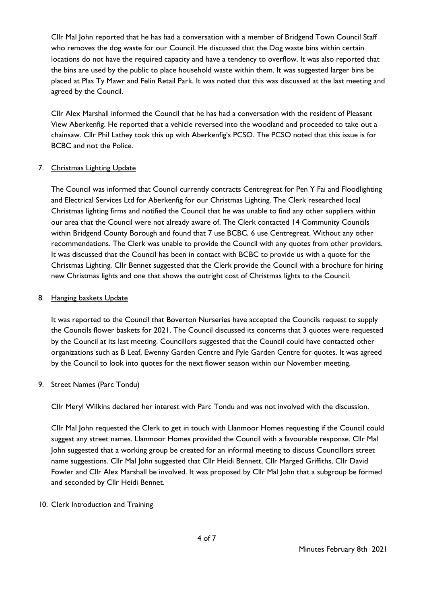Cllr Mal John reported that he has had a conversation with a member of Bridgend Town Council Staff who removes the dog waste for our Council. He discussed that the Dog waste bins within certain locations do not have the required capacity and have a tendency to overflow. It was also reported that the bins are used by the public to place household waste within them. It was suggested larger bins be placed at Plas Ty Mawr and Felin Retail Park. It was noted that this was discussed at the last meeting and agreed by the Council.

Cllr Alex Marshall informed the Council that he has had a conversation with the resident of Pleasant View Aberkenfig. He reported that a vehicle reversed into the woodland and proceeded to take out a chainsaw. Cllr Phil Lathey took this up with Aberkenfig's PCSO. The PCSO noted that this issue is for BCBC and not the Police.

## 7. Christmas Lighting Update

The Council was informed that Council currently contracts Centregreat for Pen Y Fai and Floodlighting and Electrical Services Ltd for Aberkenfig for our Christmas Lighting. The Clerk researched local Christmas lighting firms and notified the Council that he was unable to find any other suppliers within our area that the Council were not already aware of. The Clerk contacted 14 Community Councils within Bridgend County Borough and found that 7 use BCBC, 6 use Centregreat. Without any other recommendations. The Clerk was unable to provide the Council with any quotes from other providers. It was discussed that the Council has been in contact with BCBC to provide us with a quote for the Christmas Lighting. Cllr Bennet suggested that the Clerk provide the Council with a brochure for hiring new Christmas lights and one that shows the outright cost of Christmas lights to the Council.

### 8. Hanging baskets Update

It was reported to the Council that Boverton Nurseries have accepted the Councils request to supply the Councils flower baskets for 2021. The Council discussed its concerns that 3 quotes were requested by the Council at its last meeting. Councillors suggested that the Council could have contacted other organizations such as B Leaf, Ewenny Garden Centre and Pyle Garden Centre for quotes. It was agreed by the Council to look into quotes for the next flower season within our November meeting.

#### 9. Street Names (Parc Tondu)

Cllr Meryl Wilkins declared her interest with Parc Tondu and was not involved with the discussion.

Cllr Mal John requested the Clerk to get in touch with Llanmoor Homes requesting if the Council could suggest any street names. Llanmoor Homes provided the Council with a favourable response. Cllr Mal John suggested that a working group be created for an informal meeting to discuss Councillors street name suggestions. Cllr Mal John suggested that Cllr Heidi Bennett, Cllr Marged Griffiths, Cllr David Fowler and Cllr Alex Marshall be involved. It was proposed by Cllr Mal John that a subgroup be formed and seconded by Cllr Heidi Bennet.

#### 10. Clerk Introduction and Training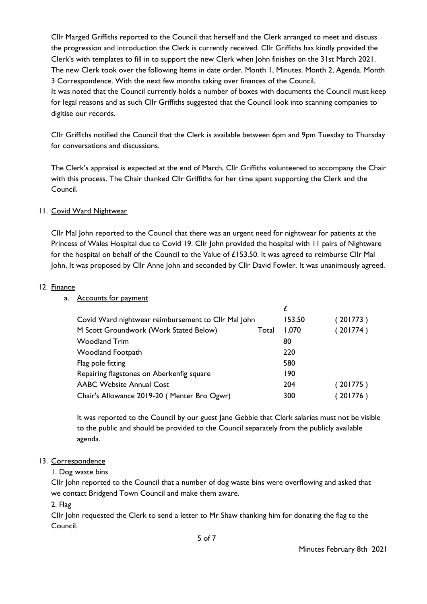Cllr Marged Griffiths reported to the Council that herself and the Clerk arranged to meet and discuss the progression and introduction the Clerk is currently received. Cllr Griffiths has kindly provided the Clerk's with templates to fill in to support the new Clerk when John finishes on the 31st March 2021. The new Clerk took over the following Items in date order, Month 1, Minutes. Month 2, Agenda. Month 3 Correspondence. With the next few months taking over finances of the Council.

It was noted that the Council currently holds a number of boxes with documents the Council must keep for legal reasons and as such Cllr Griffiths suggested that the Council look into scanning companies to digitise our records.

Cllr Griffiths notified the Council that the Clerk is available between 6pm and 9pm Tuesday to Thursday for conversations and discussions.

The Clerk's appraisal is expected at the end of March, Cllr Griffiths volunteered to accompany the Chair with this process. The Chair thanked Cllr Griffiths for her time spent supporting the Clerk and the Council.

## 11. Covid Ward Nightwear

Cllr Mal John reported to the Council that there was an urgent need for nightwear for patients at the Princess of Wales Hospital due to Covid 19. Cllr John provided the hospital with 11 pairs of Nightware for the hospital on behalf of the Council to the Value of £153.50. It was agreed to reimburse Cllr Mal John, It was proposed by Cllr Anne John and seconded by Cllr David Fowler. It was unanimously agreed.

#### 12. Finance

### a. Accounts for payment

| Covid Ward nightwear reimbursement to Cllr Mal John |       | 153.50 | (201773) |
|-----------------------------------------------------|-------|--------|----------|
| M Scott Groundwork (Work Stated Below)              | Total | 1,070  | (201774) |
| <b>Woodland Trim</b>                                |       | 80     |          |
| <b>Woodland Footpath</b>                            |       | 220    |          |
| Flag pole fitting                                   |       | 580    |          |
| Repairing flagstones on Aberkenfig square           |       | 190    |          |
| <b>AABC Website Annual Cost</b>                     |       | 204    | (201775) |
| Chair's Allowance 2019-20 (Menter Bro Ogwr)         |       | 300    | (201776) |

It was reported to the Council by our guest Jane Gebbie that Clerk salaries must not be visible to the public and should be provided to the Council separately from the publicly available agenda.

# 13. Correspondence

1. Dog waste bins

Cllr John reported to the Council that a number of dog waste bins were overflowing and asked that we contact Bridgend Town Council and make them aware.

2. Flag

Cllr John requested the Clerk to send a letter to Mr Shaw thanking him for donating the flag to the Council.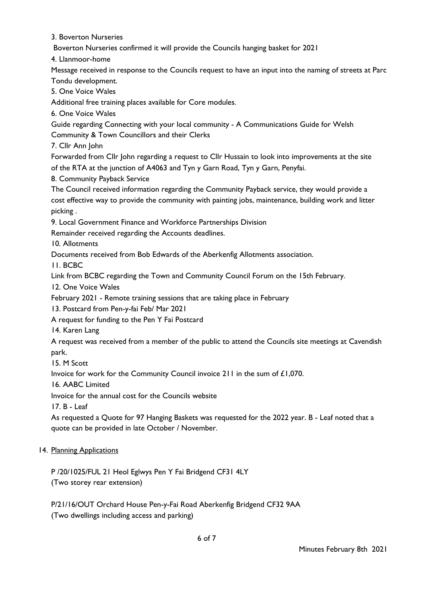3. Boverton Nurseries

Boverton Nurseries confirmed it will provide the Councils hanging basket for 2021

4. Llanmoor-home

Message received in response to the Councils request to have an input into the naming of streets at Parc Tondu development.

5. One Voice Wales

Additional free training places available for Core modules.

6. One Voice Wales

Guide regarding Connecting with your local community - A Communications Guide for Welsh Community & Town Councillors and their Clerks

7. Cllr Ann John

Forwarded from Cllr John regarding a request to Cllr Hussain to look into improvements at the site of the RTA at the junction of A4063 and Tyn y Garn Road, Tyn y Garn, Penyfai.

8. Community Payback Service

The Council received information regarding the Community Payback service, they would provide a cost effective way to provide the community with painting jobs, maintenance, building work and litter picking .

9. Local Government Finance and Workforce Partnerships Division

Remainder received regarding the Accounts deadlines.

10. Allotments

Documents received from Bob Edwards of the Aberkenfig Allotments association.

11. BCBC

Link from BCBC regarding the Town and Community Council Forum on the 15th February.

12. One Voice Wales

February 2021 - Remote training sessions that are taking place in February

13. Postcard from Pen-y-fai Feb/ Mar 2021

A request for funding to the Pen Y Fai Postcard

14. Karen Lang

A request was received from a member of the public to attend the Councils site meetings at Cavendish park.

15. M Scott

Invoice for work for the Community Council invoice 211 in the sum of £1,070.

16. AABC Limited

Invoice for the annual cost for the Councils website

17. B - Leaf

As requested a Quote for 97 Hanging Baskets was requested for the 2022 year. B - Leaf noted that a quote can be provided in late October / November.

#### 14. Planning Applications

P /20/1025/FUL 21 Heol Eglwys Pen Y Fai Bridgend CF31 4LY (Two storey rear extension)

P/21/16/OUT Orchard House Pen-y-Fai Road Aberkenfig Bridgend CF32 9AA (Two dwellings including access and parking)